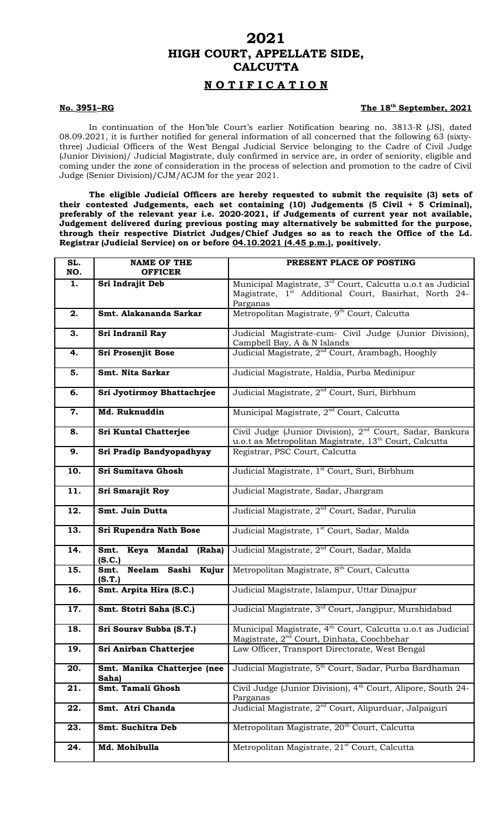## **2021 HIGH COURT, APPELLATE SIDE, CALCUTTA**

### **N O T I F I C A T I O N**

#### **No. 3951-RG**

#### The 18<sup>th</sup> September, 2021

In continuation of the Hon'ble Court's earlier Notification bearing no. 3813-R (JS), dated 08.09.2021, it is further notified for general information of all concerned that the following 63 (sixtythree) Judicial Officers of the West Bengal Judicial Service belonging to the Cadre of Civil Judge (Junior Division)/ Judicial Magistrate, duly confirmed in service are, in order of seniority, eligible and coming under the zone of consideration in the process of selection and promotion to the cadre of Civil Judge (Senior Division)/CJM/ACJM for the year 2021.

**The eligible Judicial Officers are hereby requested to submit the requisite (3) sets of their contested Judgements, each set containing (10) Judgements (5 Civil + 5 Criminal), preferably of the relevant year i.e. 2020-2021, if Judgements of current year not available, Judgement delivered during previous posting may alternatively be submitted for the purpose, through their respective District Judges/Chief Judges so as to reach the Office of the Ld. Registrar (Judicial Service) on or before 04.10.2021 (4.45 p.m.), positively.** 

| SL.<br>NO. | <b>NAME OF THE</b><br><b>OFFICER</b>                                                | PRESENT PLACE OF POSTING                                                                                                                                 |
|------------|-------------------------------------------------------------------------------------|----------------------------------------------------------------------------------------------------------------------------------------------------------|
| 1.         | Sri Indrajit Deb                                                                    | Municipal Magistrate, 3 <sup>rd</sup> Court, Calcutta u.o.t as Judicial<br>Magistrate, 1 <sup>st</sup> Additional Court, Basirhat, North 24-<br>Parganas |
| 2.         | Smt. Alakananda Sarkar                                                              | Metropolitan Magistrate, 9 <sup>th</sup> Court, Calcutta                                                                                                 |
| 3.         | Sri Indranil Ray                                                                    | Judicial Magistrate-cum- Civil Judge (Junior Division),<br>Campbell Bay, A & N Islands                                                                   |
| 4.         | Judicial Magistrate, 2 <sup>nd</sup> Court, Arambagh, Hooghly<br>Sri Prosenjit Bose |                                                                                                                                                          |
| 5.         | Smt. Nita Sarkar                                                                    | Judicial Magistrate, Haldia, Purba Medinipur                                                                                                             |
| 6.         | Sri Jyotirmoy Bhattachrjee                                                          | Judicial Magistrate, 2 <sup>nd</sup> Court, Suri, Birbhum                                                                                                |
| 7.         | Md. Ruknuddin                                                                       | Municipal Magistrate, 2 <sup>nd</sup> Court, Calcutta                                                                                                    |
| 8.         | Sri Kuntal Chatterjee                                                               | Civil Judge (Junior Division), 2 <sup>nd</sup> Court, Sadar, Bankura<br>u.o.t as Metropolitan Magistrate, 13 <sup>th</sup> Court, Calcutta               |
| 9.         | Sri Pradip Bandyopadhyay                                                            | Registrar, PSC Court, Calcutta                                                                                                                           |
| 10.        | Sri Sumitava Ghosh                                                                  | Judicial Magistrate, 1 <sup>st</sup> Court, Suri, Birbhum                                                                                                |
| 11.        | Sri Smarajit Roy                                                                    | Judicial Magistrate, Sadar, Jhargram                                                                                                                     |
| 12.        | Smt. Juin Dutta                                                                     | Judicial Magistrate, 2 <sup>nd</sup> Court, Sadar, Purulia                                                                                               |
| 13.        | Sri Rupendra Nath Bose                                                              | Judicial Magistrate, 1 <sup>st</sup> Court, Sadar, Malda                                                                                                 |
| 14.        | Keya Mandal (Raha)<br>Smt.<br>(S.C.)                                                | Judicial Magistrate, 2 <sup>nd</sup> Court, Sadar, Malda                                                                                                 |
| 15.        | Neelam Sashi Kujur<br>Smt.<br>(S.T.)                                                | Metropolitan Magistrate, 8 <sup>th</sup> Court, Calcutta                                                                                                 |
| 16.        | Smt. Arpita Hira (S.C.)                                                             | Judicial Magistrate, Islampur, Uttar Dinajpur                                                                                                            |
| 17.        | Smt. Stotri Saha (S.C.)                                                             | Judicial Magistrate, 3 <sup>rd</sup> Court, Jangipur, Murshidabad                                                                                        |
| 18.        | Sri Sourav Subba (S.T.)                                                             | Municipal Magistrate, 4 <sup>th</sup> Court, Calcutta u.o.t as Judicial<br>Magistrate, 2 <sup>nd</sup> Court, Dinhata, Coochbehar                        |
| 19.        | Sri Anirban Chatterjee                                                              | Law Officer, Transport Directorate, West Bengal                                                                                                          |
| 20.        | Smt. Manika Chatterjee (nee<br>Saha)                                                | Judicial Magistrate, 5 <sup>th</sup> Court, Sadar, Purba Bardhaman                                                                                       |
| 21.        | Smt. Tamali Ghosh                                                                   | Civil Judge (Junior Division), 4 <sup>th</sup> Court, Alipore, South 24-<br>Parganas                                                                     |
| 22.        | Smt. Atri Chanda                                                                    | Judicial Magistrate, 2 <sup>nd</sup> Court, Alipurduar, Jalpaiguri                                                                                       |
| 23.        | Smt. Suchitra Deb                                                                   | Metropolitan Magistrate, 20 <sup>th</sup> Court, Calcutta                                                                                                |
| 24.        | Md. Mohibulla                                                                       | Metropolitan Magistrate, 21 <sup>st</sup> Court, Calcutta                                                                                                |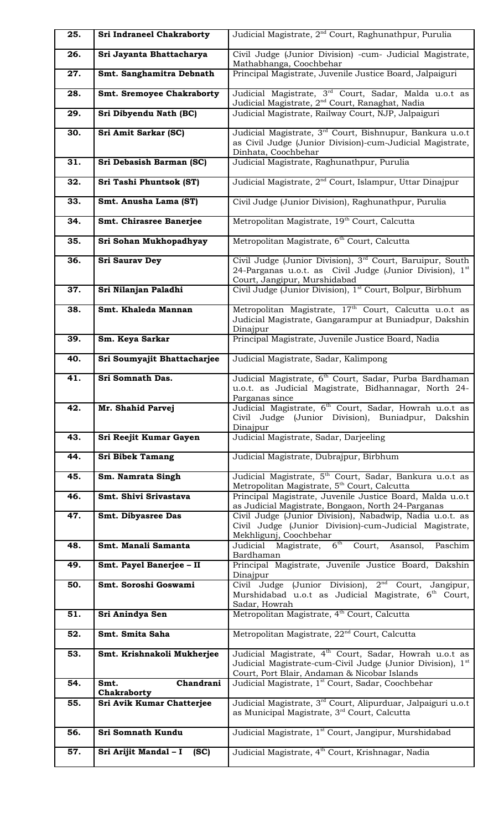| 25. | <b>Sri Indraneel Chakraborty</b> | Judicial Magistrate, 2 <sup>nd</sup> Court, Raghunathpur, Purulia                                                                                                                            |
|-----|----------------------------------|----------------------------------------------------------------------------------------------------------------------------------------------------------------------------------------------|
| 26. | Sri Jayanta Bhattacharya         | Civil Judge (Junior Division) -cum- Judicial Magistrate,<br>Mathabhanga, Coochbehar                                                                                                          |
| 27. | Smt. Sanghamitra Debnath         | Principal Magistrate, Juvenile Justice Board, Jalpaiguri                                                                                                                                     |
| 28. | <b>Smt. Sremoyee Chakraborty</b> | Judicial Magistrate, 3 <sup>rd</sup> Court, Sadar, Malda u.o.t as<br>Judicial Magistrate, 2 <sup>nd</sup> Court, Ranaghat, Nadia                                                             |
| 29. | Sri Dibyendu Nath (BC)           | Judicial Magistrate, Railway Court, NJP, Jalpaiguri                                                                                                                                          |
| 30. | Sri Amit Sarkar (SC)             | Judicial Magistrate, 3rd Court, Bishnupur, Bankura u.o.t<br>as Civil Judge (Junior Division)-cum-Judicial Magistrate,<br>Dinhata, Coochbehar                                                 |
| 31. | Sri Debasish Barman (SC)         | Judicial Magistrate, Raghunathpur, Purulia                                                                                                                                                   |
| 32. | Sri Tashi Phuntsok (ST)          | Judicial Magistrate, 2 <sup>nd</sup> Court, Islampur, Uttar Dinajpur                                                                                                                         |
| 33. | Smt. Anusha Lama (ST)            | Civil Judge (Junior Division), Raghunathpur, Purulia                                                                                                                                         |
| 34. | Smt. Chirasree Banerjee          | Metropolitan Magistrate, 19 <sup>th</sup> Court, Calcutta                                                                                                                                    |
| 35. | Sri Sohan Mukhopadhyay           | Metropolitan Magistrate, 6 <sup>th</sup> Court, Calcutta                                                                                                                                     |
| 36. | <b>Sri Saurav Dey</b>            | Civil Judge (Junior Division), 3 <sup>rd</sup> Court, Baruipur, South<br>24-Parganas u.o.t. as Civil Judge (Junior Division), $1st$<br>Court, Jangipur, Murshidabad                          |
| 37. | Sri Nilanjan Paladhi             | Civil Judge (Junior Division), 1st Court, Bolpur, Birbhum                                                                                                                                    |
| 38. | Smt. Khaleda Mannan              | Metropolitan Magistrate, 17 <sup>th</sup> Court, Calcutta u.o.t as<br>Judicial Magistrate, Gangarampur at Buniadpur, Dakshin<br>Dinajpur                                                     |
| 39. | Sm. Keya Sarkar                  | Principal Magistrate, Juvenile Justice Board, Nadia                                                                                                                                          |
| 40. | Sri Soumyajit Bhattacharjee      | Judicial Magistrate, Sadar, Kalimpong                                                                                                                                                        |
| 41. | Sri Somnath Das.                 | Judicial Magistrate, 6 <sup>th</sup> Court, Sadar, Purba Bardhaman<br>u.o.t. as Judicial Magistrate, Bidhannagar, North 24-<br>Parganas since                                                |
| 42. | Mr. Shahid Parvej                | Judicial Magistrate, 6 <sup>th</sup> Court, Sadar, Howrah u.o.t as<br>Civil Judge (Junior Division), Buniadpur,<br>Dakshin<br>Dinajpur                                                       |
| 43. | Sri Reejit Kumar Gayen           | Judicial Magistrate, Sadar, Darjeeling                                                                                                                                                       |
| 44. | <b>Sri Bibek Tamang</b>          | Judicial Magistrate, Dubrajpur, Birbhum                                                                                                                                                      |
| 45. | Sm. Namrata Singh                | Judicial Magistrate, 5 <sup>th</sup> Court, Sadar, Bankura u.o.t as<br>Metropolitan Magistrate, 5 <sup>th</sup> Court, Calcutta                                                              |
| 46. | Smt. Shivi Srivastava            | Principal Magistrate, Juvenile Justice Board, Malda u.o.t<br>as Judicial Magistrate, Bongaon, North 24-Parganas                                                                              |
| 47. | Smt. Dibyasree Das               | Civil Judge (Junior Division), Nabadwip, Nadia u.o.t. as<br>Civil Judge (Junior Division)-cum-Judicial Magistrate,<br>Mekhligunj, Coochbehar                                                 |
| 48. | Smt. Manali Samanta              | Judicial Magistrate, 6 <sup>th</sup> Court,<br>Asansol,<br>Paschim<br>Bardhaman                                                                                                              |
| 49. | Smt. Payel Banerjee - II         | Principal Magistrate, Juvenile Justice Board, Dakshin<br>Dinajpur                                                                                                                            |
| 50. | Smt. Soroshi Goswami             | Civil Judge (Junior Division), 2 <sup>nd</sup> Court, Jangipur,<br>Murshidabad u.o.t as Judicial Magistrate, 6 <sup>th</sup> Court,<br>Sadar, Howrah                                         |
| 51. | Sri Anindya Sen                  | Metropolitan Magistrate, 4 <sup>th</sup> Court, Calcutta                                                                                                                                     |
| 52. | Smt. Smita Saha                  | Metropolitan Magistrate, 22 <sup>nd</sup> Court, Calcutta                                                                                                                                    |
| 53. | Smt. Krishnakoli Mukherjee       | Judicial Magistrate, 4 <sup>th</sup> Court, Sadar, Howrah u.o.t as<br>Judicial Magistrate-cum-Civil Judge (Junior Division), 1 <sup>st</sup><br>Court, Port Blair, Andaman & Nicobar Islands |
| 54. | Chandrani<br>Smt.<br>Chakraborty | Judicial Magistrate, 1 <sup>st</sup> Court, Sadar, Coochbehar                                                                                                                                |
| 55. | Sri Avik Kumar Chatterjee        | Judicial Magistrate, 3 <sup>rd</sup> Court, Alipurduar, Jalpaiguri u.o.t<br>as Municipal Magistrate, 3rd Court, Calcutta                                                                     |
| 56. | Sri Somnath Kundu                | Judicial Magistrate, 1 <sup>st</sup> Court, Jangipur, Murshidabad                                                                                                                            |
| 57. | Sri Arijit Mandal - I<br>(SC)    | Judicial Magistrate, 4 <sup>th</sup> Court, Krishnagar, Nadia                                                                                                                                |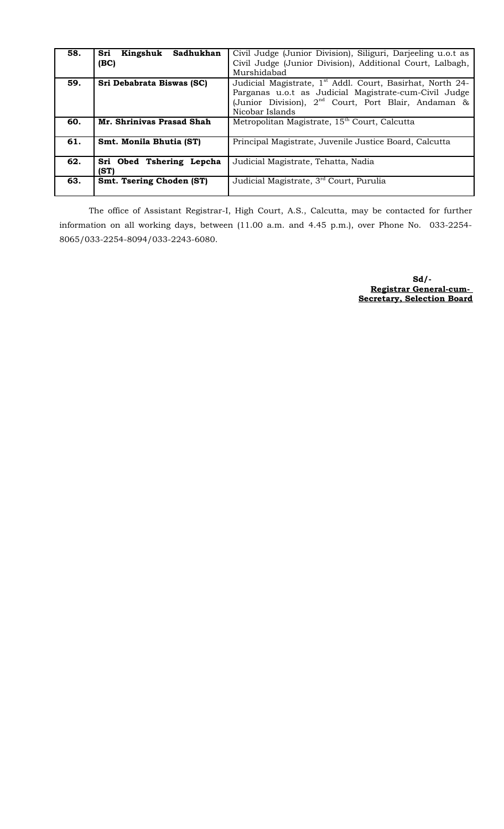| 58. | Sadhukhan<br>Kingshuk<br>Sri | Civil Judge (Junior Division), Siliguri, Darjeeling u.o.t as          |
|-----|------------------------------|-----------------------------------------------------------------------|
|     | (BC)                         | Civil Judge (Junior Division), Additional Court, Lalbagh,             |
|     |                              | Murshidabad                                                           |
| 59. | Sri Debabrata Biswas (SC)    | Judicial Magistrate, 1 <sup>st</sup> Addl. Court, Basirhat, North 24- |
|     |                              | Parganas u.o.t as Judicial Magistrate-cum-Civil Judge                 |
|     |                              | (Junior Division), 2 <sup>nd</sup> Court, Port Blair, Andaman &       |
|     |                              | Nicobar Islands                                                       |
| 60. | Mr. Shriniyas Prasad Shah    | Metropolitan Magistrate, 15 <sup>th</sup> Court, Calcutta             |
| 61. | Smt. Monila Bhutia (ST)      | Principal Magistrate, Juvenile Justice Board, Calcutta                |
|     |                              |                                                                       |
| 62. | Sri Obed Tshering Lepcha     | Judicial Magistrate, Tehatta, Nadia                                   |
|     | (ST)                         |                                                                       |
| 63. | Smt. Tsering Choden (ST)     | Judicial Magistrate, 3 <sup>rd</sup> Court, Purulia                   |
|     |                              |                                                                       |

The office of Assistant Registrar-I, High Court, A.S., Calcutta, may be contacted for further information on all working days, between (11.00 a.m. and 4.45 p.m.), over Phone No. 033-2254- 8065/033-2254-8094/033-2243-6080.

> **Sd/- Registrar General-cum- Secretary, Selection Board**